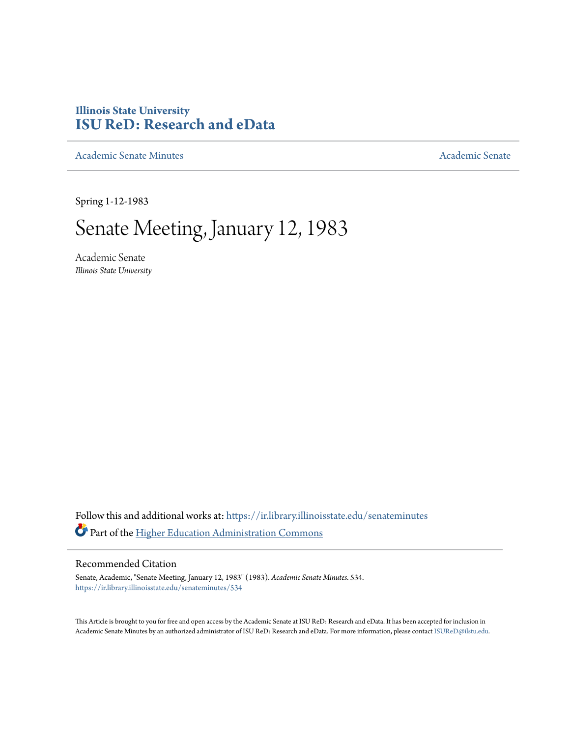## **Illinois State University [ISU ReD: Research and eData](https://ir.library.illinoisstate.edu?utm_source=ir.library.illinoisstate.edu%2Fsenateminutes%2F534&utm_medium=PDF&utm_campaign=PDFCoverPages)**

[Academic Senate Minutes](https://ir.library.illinoisstate.edu/senateminutes?utm_source=ir.library.illinoisstate.edu%2Fsenateminutes%2F534&utm_medium=PDF&utm_campaign=PDFCoverPages) [Academic Senate](https://ir.library.illinoisstate.edu/senate?utm_source=ir.library.illinoisstate.edu%2Fsenateminutes%2F534&utm_medium=PDF&utm_campaign=PDFCoverPages) Academic Senate

Spring 1-12-1983

# Senate Meeting, January 12, 1983

Academic Senate *Illinois State University*

Follow this and additional works at: [https://ir.library.illinoisstate.edu/senateminutes](https://ir.library.illinoisstate.edu/senateminutes?utm_source=ir.library.illinoisstate.edu%2Fsenateminutes%2F534&utm_medium=PDF&utm_campaign=PDFCoverPages) Part of the [Higher Education Administration Commons](http://network.bepress.com/hgg/discipline/791?utm_source=ir.library.illinoisstate.edu%2Fsenateminutes%2F534&utm_medium=PDF&utm_campaign=PDFCoverPages)

## Recommended Citation

Senate, Academic, "Senate Meeting, January 12, 1983" (1983). *Academic Senate Minutes*. 534. [https://ir.library.illinoisstate.edu/senateminutes/534](https://ir.library.illinoisstate.edu/senateminutes/534?utm_source=ir.library.illinoisstate.edu%2Fsenateminutes%2F534&utm_medium=PDF&utm_campaign=PDFCoverPages)

This Article is brought to you for free and open access by the Academic Senate at ISU ReD: Research and eData. It has been accepted for inclusion in Academic Senate Minutes by an authorized administrator of ISU ReD: Research and eData. For more information, please contact [ISUReD@ilstu.edu.](mailto:ISUReD@ilstu.edu)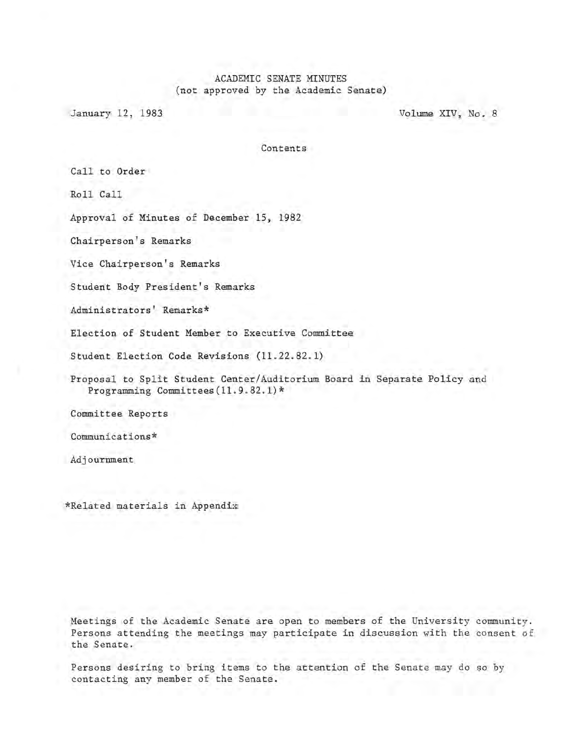## ACADEMIC SENATE MINUTES (not approved by the Academic Senate)

January 12, 1983 Volume XIV, No. 8

Contents

Call to Order

Roll Call

Approval of Minutes of December 15. 1982

Chairperson's Remarks

Vice Chairperson's Remarks

Student Body President's Remarks

Administrators' Remarks\*

Election of Student Member to Executive Committee

Student Election Code Revisions (11.22.82.1)

Proposal to Split Student Center/Auditorium Board in Separate Policy and Programming Committees (11. 9.82.1) \*

Committee Reports

Communications\*

Adjourrnnent

\*Related materials in Appendix

Meetings of the Academic Senate are open to members of the University community. Persons attending the meetings may participate in discussion with the consent of the Senate.

Persons desiring to bring items to the attention of the Senate may do so by contacting any member of the Senate.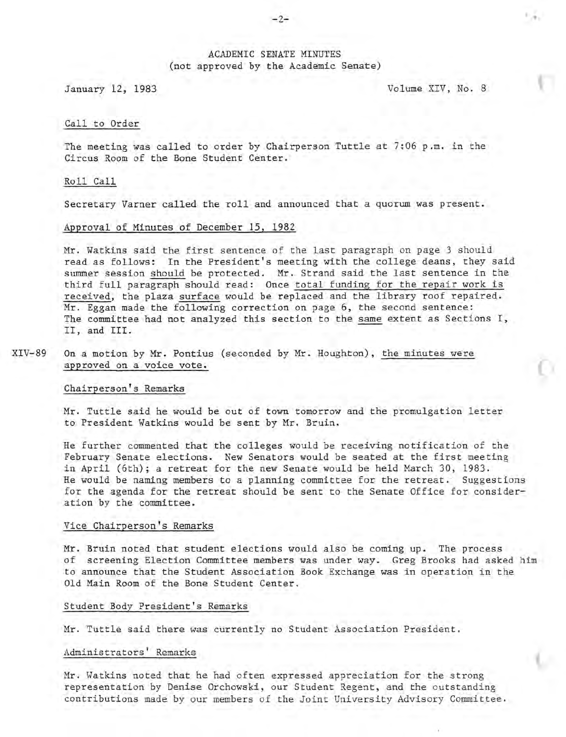## ACADEMIC SENATE MINUTES (not approved by the Academic Senate)

January 12, 1983 Volume XIV, No. 8

. ,

#### Call to Order

The meeting was called to order by Chairperson Tuttle at 7:06 p.m. in the Circus Room of the Bone Student Center.

#### Roll Call

Secretary Varner called the roll and announced that a quorum was present.

#### Approval of Minutes of December 15, 1982

Mr. Watkins said the first sentence of the last paragraph on page 3 should read as follows: In the President's meeting with the college deans, they said summer session should be protected. Mr. Strand said the last sentence in the third full paragraph should read: Once total funding for the repair work is received, the plaza surface would be replaced and the library roof repaired. Mr. Eggan made the following correction on page 6, the second sentence: The committee had not analyzed this section to the same extent as Sections I, II, and III.

XIV-89 On a motion by Mr. Pontius (seconded by Mr. Houghton), the minutes were approved on a voice vote.

#### Chairperson's Remarks

Mr. Tuttle said he would be out of town tomorrow and the promulgation letter to President Watkins would be sent by Mr. Bruin.

He further commented that the colleges would be receiving notification of the February Senate elections. New Senators would be seated at the first meeting in April (6th); a retreat for the new Senate would be held March 30, 1983. He would be naming members to a planning committee for the retreat. Suggestions for the agenda for the retreat should be sent to the Senate Office for consideration by the committee.

#### Vice Chairperson's Remarks

Mr. Bruin noted that student elections would also be coming up. The process of screening Election Committee members was under way. Greg Brooks had asked him to announce that the Student Association Book Exchange was in operation in the Old Main Room of the Bone Student Center.

#### Student Body President's Remarks

Mr. Tuttle said there was currently no Student Association President.

### Administrators' Remarks

Mr. Watkins noted that he had often expressed appreciation for the strong representation by Denise Orchowski, our Student Regent, and the outstanding contributions made by our members of the Joint University Advisory Committee.

#### $-2-$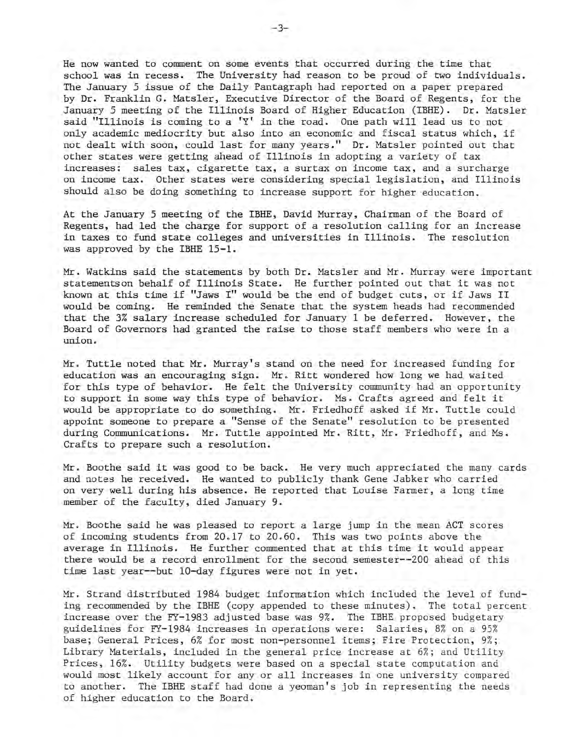He now wanted to comment on some events that occurred during the time that school was in recess. The University had reason to be proud of two individuals. The January 5 issue of the Daily Pantagraph had reported on a paper prepared by Dr. Franklin G. Matsler, Executive Director of the Board of Regents, for the January 5 meeting of the Illinois Board of Higher Education (IBHE). Dr. Matsler said "Illinois is coming to a  $'Y'$  in the road. One path will lead us to not only academic mediocrity but also into an economic and fiscal status which, if not dealt with soon, could last for many years." Dr. Matsler pointed out that other states were getting ahead of Illinois in adopting a variety of tax increases: sales tax, cigarette tax, a surtax on income tax, and a surcharge on income tax. Other states were considering special legislation, and Illinois should also be doing something to increase support for higher education.

At the January 5 meeting of the IBHE, David Murray, Chairman of the Board of Regents, had led the charge for support of a resolution calling for an increase in taxes to fund state colleges and universities in Illinois. The resolution was approved by the IBHE 15-1.

Mr. Watkins said the statements by both Dr. Matsler and Mr. Murray were important statementson behalf of Illinois State. He further pointed out that it was not known at this time if "Jaws I" would be the end of budget cuts, or if Jaws II would be coming. He reminded the Senate that the system heads had recommended that the 3% salary increase scheduled for January 1 be deferred. However, the Board of Governors had granted the raise to those staff members who were in a union.

Mr. Tuttle noted that Mr. Murray's stand on the need for increased funding for education was an encouraging sign. Mr. Ritt wondered how long we had waited for this type of behavior. He felt the University community had an opportunity to support in some way this type of behavior. Ms. Crafts agreed and felt it would be appropriate to do something. Mr. Friedhoff asked if Mr. Tuttle could appoint someone to prepare a "Sense of the Senate" resolution to be presented during Communications. Mr. Tuttle appointed Mr. Ritt, Mr. Friedhoff, and Ms. Crafts to prepare such a resolution.

Mr. Boothe said it was good to be back. He very much appreciated the many cards and notes he received. He wanted to publicly thank Gene Jabker who carried on very well during his absence. He reported that Louise Farmer, a long time member of the faculty, died January 9.

Mr. Boothe said he was pleased to report a large jump in the mean ACT scores of incoming students from 20. 17 to 20. 60. This was two points above the average in Illinois. He further commented that at this time it would appear there would be a record enrollment for the second semester--200 ahead of this time last year--but 10-day figures were not in yet.

Mr. Strand distributed 1984 budget information which included the level of funding recommended by the IBHE (copy appended to these minutes). The total percent increase over the FY-1983 adjusted base was 9%. The IBHE. proposed budgetary guidelines for FY-1984 increases in operations were: Salaries, 8% on a 95% base; General Prices, 6% for most non-personnel items; Fire Protection, 9%; Library Materials, included in the general price increase at 6%; and Utility Prices, 16%. Utility budgets were based on a special state computation and would most likely account for any or all increases in one university compared to another. The IBHE staff had done a yeoman's job in representing the needs of higher education to the Board.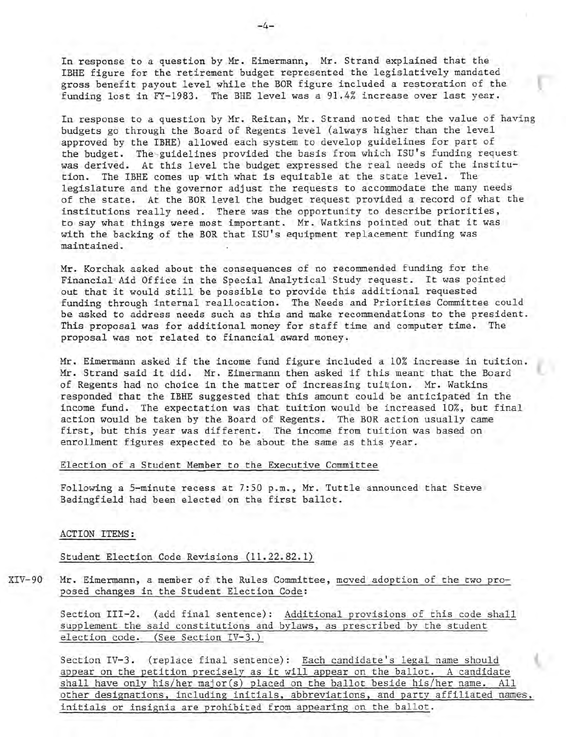In response to a question by Mr. Eimermann, Mr. Strand explained that the IBHE figure for the retirement budget represented the legislatively mandated gross benefit payout level while the BOR figure included a restoration of the funding lost in FY-1983. The BHE level was a 91.4% increase over last year.

In response to a question by Mr. Reitan, Mr. Strand noted that the value of having budgets go through the Board of Regents level (always higher than the level approved by the IBHE) allowed each system to develop guidelines for part of the budget. The guidelines provided the basis from which ISU's funding request was derived. At this level the budget expressed the real needs of the institution. The IBHE comes up with what is equitable at the state level. The legislature and the governor adjust the requests to accommodate the many needs of the state. At the BOR level the budget request provided a record of what the institutions really need. There was the opportunity to describe priorities, to say what things were most important. Mr. Watkins pointed out that it was with the backing of the BOR that ISU's equipment replacement funding was maintained.

Mr. Korchak asked about the consequences of no recommended funding for the Financial Aid Office in the Special Analytical Study request. It was pointed out that it would still be possible to provide this additional requested funding through internal reallocation. The Needs and Priorities Committee could be asked to address needs such as this and make recommendations to the president. This proposal was for additional money for staff time and computer time. The proposal was not related to financial award money.

Mr. Eimermann asked if the income fund figure included a 10% increase in tuition. Mr. Strand said it did. Mr. Eimermann then asked if this meant that the Board of Regents had no choice in the matter of increasing tuition. Mr. Watkins responded that the IBHE suggested that this amount could be anticipated in the income fund. The expectation was that tuition would be increased 10%, but final action would be taken by the Board of Regents. The BOR action usually came first, but this year was different. The income from tuition was based on enrollment figures expected to be about the same as this year.

#### Election of a Student Member to the Executive Committee

Following a 5-minute recess at 7:50 p.m., Mr. Tuttle announced that Steve Bedingfield had been elected on the first ballot.

#### ACTION ITEMS:

Student Election Code Revisions (11.22.82.1)

XIV-90 Mr. Eimermann, a member of the Rules Committee, moved adoption of the two proposed changes in the Student Election Code:

> Section III-2. (add final sentence): Additional provisions of this code shall supplement the said constitutions and bylaws, as prescribed by the student election code. (See Section IV-3.)

Section IV-3. (replace final sentence): Each candidate's legal name should appear on the petition precisely as it will appear on the ballot. A candidate shall have only his/her major(s) placed on the ballot beside his/her name. All other designations, including initials, abbreviations, and party affiliated names, initials or insignia are prohibited from appearing on the ballot.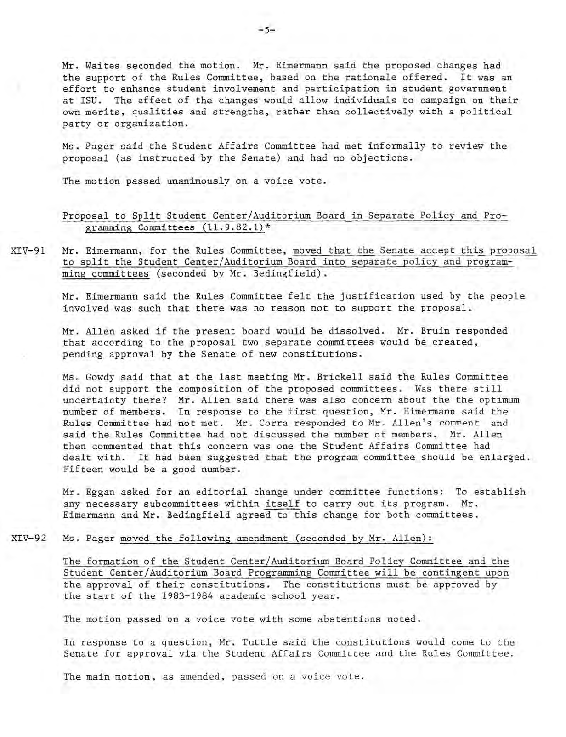Mr. Waites seconded the motion. Mr. Eimermann said the proposed changes had the support of the Rules Committee, based on the rationale offered. It was an effort to enhance student involvement and participation in student government at ISU. The effect of the changes would allow individuals to campaign on their own merits, qualities and strengths, rather than collectively with a political party or organization.

Ms. Pager said the Student Affairs Committee had met informally to review the proposal (as instructed by the Senate) and had no objections.

The motion passed unanimously on a voice vote.

## Proposal to Split Student Center/Auditorium Board in Separate Policy and Programming Committees (11.9.82.1)\*

XIV-91 Mr. Eimermann, for the Rules Committee, moved that the Senate accept this proposal to split the Student Center/Auditorium Board into separate policy and programming committees (seconded by Mr. Bedingfield).

> Mr. Eimermann said the Rules Committee felt the justification used by the people involved was such that there was no reason not to support the proposal.

Mr. Allen asked if the present board would be dissolved. Mr. Bruin responded that according to the proposal two separate committees would be created, pending approval by the Senate of new constitutions.

Ms. Gowdy said that at the last meeting Mr. Brickell said the Rules Committee did not support the composition of the proposed committees. Was there still uncertainty there? Mr. Allen said there was also concern about the the optimum number of members. In response to the first question, Mr. Eimermann said the Rules Committee had not met. Mr. Corra responded to Mr. Allen's comment and said the Rules Committee had not discussed the number of members. Mr. Allen then commented that this concern was one the Student Affairs Committee had dealt with. It had been suggested that the program committee should be enlarged. Fifteen would be a good number.

Mr. Eggan asked for an editorial change under committee functions: To establish any necessary subcommittees within itself to carry out its program. Mr. Eimermann and Mr. Bedingfield agreed to this change for both committees.

 $XIV-92$ Ms. Pager moved the following amendment (seconded by Mr. Allen):

> The formation of the Student Center/Auditorium Board Policy Committee and the Student Center/Auditorium Board Programming Committee will be contingent upon the approval of their constitutions. The constitutions must be approved by the start of the 1983-1984 academic school year.

The motion passed on a voice vote with some abstentions noted.

In response to a question, Mr. Tuttle said the constitutions would come to the Senate for approval via the Student Affairs Committee and the Rules Committee .

The main motion, as amended, passed on a voice vote.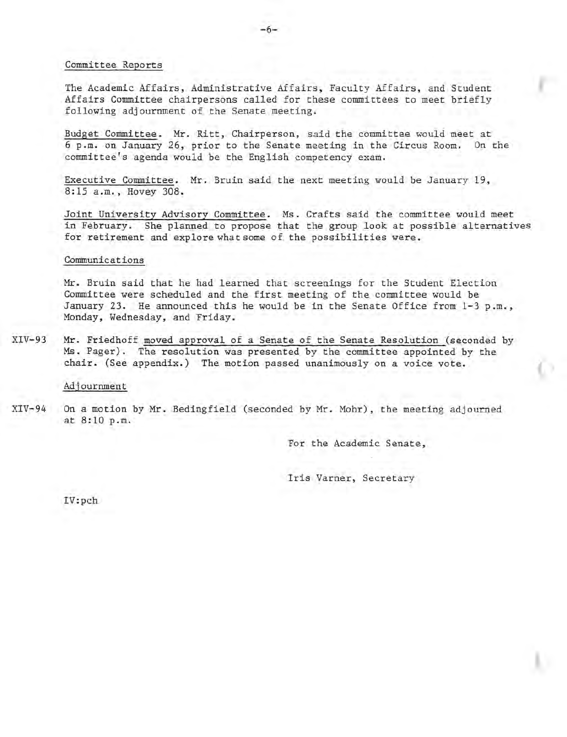#### Committee Reports

The Academic Affairs, Administrative Affairs, Faculty Affairs, and Student Affairs Committee chairpersons called for these committees to meet briefly following adjournment of the Senate meeting.

Budget Committee. Mr. Ritt, Chairperson, said the committee would meet at 6 p.m. on January 26, prior to the Senate meeting in the Circus Room. On the 6 p.m. on January 26, prior to the Senate meeting in the Circus Room. committee's agenda would be the English competency exam.

Executive Committee. Mr. Bruin said the next meeting would be January 19, 8:15 a.m., Hovey 308.

Joint University Advisory Committee. Ms. Crafts said the committee would meet in February. She planned to propose that the group look at possible alternatives for retirement and explore what some of the possibilities were.

#### Communications

Mr. Bruin said that he had learned that screenings for the Student Election Committee were scheduled and the first meeting of the committee would be January 23. He announced this he would be in the Senate Office from  $1-3$  p.m., Monday, Wednesday, and Friday.

XIV-93 Mr. Friedhoff moved approval of a Senate of the Senate Resolution (seconded by Ms. Pager). The resolution was presented by the committee appointed by the chair. (See appendix.) The motion passed unanimously on a voice vote.

Adjournment

 $XIV-94$ On a motion by Mr. Bedingfield (seconded by Mr. Mohr), the meeting adjourned at 8:10 p.m.

For the Academic Senate,

Iris Varner, Secretary

IV:p ch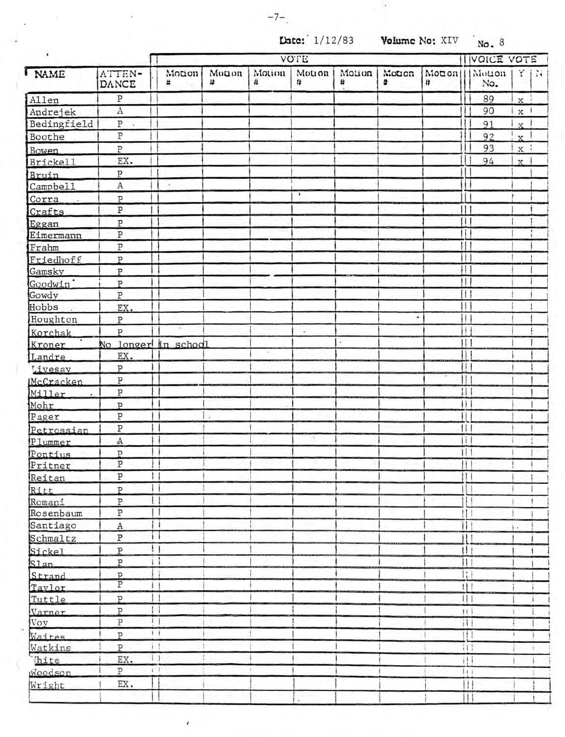$\epsilon$ 

**Late:** 1/12/83 **Volume No:** XIV No. 8

|                       |                         |               |            |               | $\text{Date: } 1/12/83$ |                             | Volume No: XIV |             | No. 8                        |                    |            |  |
|-----------------------|-------------------------|---------------|------------|---------------|-------------------------|-----------------------------|----------------|-------------|------------------------------|--------------------|------------|--|
|                       |                         | <b>VOTE</b>   |            |               |                         |                             |                |             |                              | <b>IVOICE VOTE</b> |            |  |
| NAME                  | ATTEN-<br>DANCE         | Motion<br>×   | Monon<br># | Motion<br>#   | Motion<br>#             | Motion<br>#<br>$\mathbf{r}$ | Motion<br>÷    | Motion<br># | Motion<br>No.                |                    | $X \mid M$ |  |
| Allen                 | ${\tt P}$               |               |            |               |                         |                             |                |             | 89                           | $\mathbf x$        |            |  |
| Andrejek              | $\overline{A}$          |               |            |               |                         |                             |                |             | 90                           | $\mathbf x$        |            |  |
| Bedingfield           | $\, {\bf p}$            |               |            |               |                         |                             |                |             | 91                           | $\frac{1}{x}$      |            |  |
| Boothe                | $\overline{P}$          |               |            |               |                         |                             |                |             | 92                           | $\mathbf{x}$       |            |  |
| Bowen                 | $\, {\bf P}$            |               |            |               |                         |                             |                |             | 93                           | x                  |            |  |
| <b>Brickell</b>       | EX.                     |               |            |               |                         |                             |                |             | 94                           | $\mathbf{x}$       |            |  |
| Bruin                 | P                       |               |            |               |                         |                             |                |             |                              |                    |            |  |
| Campbel1              | $\rm A$                 | ×.            |            |               |                         |                             |                |             |                              |                    |            |  |
| Corra                 | $\mathbf{P}$            |               |            |               | 1                       |                             |                |             | L                            |                    |            |  |
| Crafts                | $\, {\bf P}$            |               |            |               |                         |                             |                |             | 11 1                         |                    |            |  |
| Eggan                 | $\, {\bf P}$            |               |            |               |                         |                             |                |             | 11                           |                    |            |  |
| Eimermann             | ${\tt P}$               |               |            |               |                         |                             |                |             | Ĥ.                           |                    |            |  |
| Frahm                 | $\, {\bf p}$            |               |            |               |                         |                             |                |             |                              |                    |            |  |
| Friedhoff             | P                       |               |            |               |                         |                             |                |             | н                            |                    |            |  |
| Gamsky                | P                       |               |            |               |                         |                             |                |             | $\vert \vert$                |                    |            |  |
| Goodwin <sup>"</sup>  | P                       |               |            |               |                         |                             |                |             | $\mathbf{H}$                 |                    |            |  |
| Gowdy                 | $\overline{P}$          |               |            |               |                         |                             |                |             |                              |                    |            |  |
| Hobbs                 | EX.                     |               |            |               |                         |                             |                |             | 11                           |                    |            |  |
| Houghton              | $\, {\bf p}$            |               |            |               |                         |                             | ٠              |             | Ħ                            |                    |            |  |
|                       | P                       |               |            |               | ÷.                      |                             |                |             | iL.                          |                    |            |  |
| Korchak<br>Kroner     | No longer in schodl     |               |            |               |                         |                             |                |             |                              |                    |            |  |
| Landre                | EX.                     |               |            | $\mathcal{C}$ |                         |                             |                |             | $\mathbf{R}$                 |                    |            |  |
| Livesay               | $\overline{P}$          | H             |            |               |                         |                             |                |             | Ħ                            |                    |            |  |
| McCracken             | P                       |               |            |               |                         |                             |                |             | $\mathbf{H}$                 |                    |            |  |
| Miller                | $\, {\bf p}$            |               |            |               |                         |                             |                |             | $\vert \vert \vert$          |                    |            |  |
| Mohr                  | $\overline{P}$          |               |            |               |                         |                             |                |             |                              |                    |            |  |
| Pager                 | P                       | Ŵ.            |            |               |                         |                             |                |             | H.                           |                    |            |  |
|                       | ${\tt P}$               |               |            |               |                         |                             |                |             | $\mathbf{H}$                 |                    |            |  |
| Petrossian<br>Plummer | $\mathbb A$             |               |            |               | $\Lambda$               |                             |                |             | Ħ                            |                    |            |  |
| Pontius               | $\, {\bf p}$            | n             |            |               |                         |                             |                |             |                              |                    |            |  |
| Pritner               | P                       | H             |            |               |                         |                             |                |             | $\mathfrak{t}(\mathfrak{t})$ |                    |            |  |
| Reitan                | $\overline{\mathbf{P}}$ | $\vdash$      |            |               |                         |                             |                |             | Ш                            |                    |            |  |
| Ritt                  | $\overline{P}$          | $\vert \vert$ |            |               |                         |                             |                |             | Ш                            |                    |            |  |
| Romani                | $\overline{\text{P}}$   |               |            |               |                         |                             |                |             | $\overline{11}$              |                    |            |  |
| Rosenbaum             | $\overline{\mathbf{P}}$ | H             |            |               |                         |                             |                |             | 111                          |                    |            |  |
| Santiago              | $\mathbf{A}$            | ΙI            |            |               |                         |                             |                |             | Ш                            |                    |            |  |
| Schmaltz              | $\, {\bf P}$            | i i           |            |               |                         |                             |                |             | Ш                            | $\epsilon$         |            |  |
| Sickel                | $\, {\bf P}$            | $\mathbf{!}$  |            |               |                         |                             |                |             | 111                          |                    |            |  |
|                       | $\, {\bf p}$            | iІ            |            |               |                         |                             |                |             | Ш                            |                    |            |  |
| S1an                  | $\mathbf{p}$            | Н             |            |               |                         |                             |                |             | Ħ                            |                    |            |  |
| Strand                | $\overline{P}$          | H             |            |               |                         |                             |                |             | $1$   1                      |                    |            |  |
| Taylor                | P                       | 8             |            |               |                         |                             |                |             | $\frac{1}{1}$                |                    |            |  |
| Tuttle                | $\overline{P}$          | $\mathbf{1}$  |            |               |                         |                             |                |             |                              |                    |            |  |
| Varner<br>Voy         | $\rm P$                 | 1             |            |               |                         |                             |                |             | 11 <sup>1</sup><br>11        | $\hat{z}$          |            |  |
|                       | $\overline{P}$          | $\frac{1}{2}$ |            |               |                         |                             |                | 1           | 111                          | a.                 |            |  |
| Waites                |                         | $i +$         |            |               |                         |                             |                |             |                              |                    |            |  |
| Watkins               | $\, {\bf P}$            | 1.1           |            |               |                         |                             |                |             | ĦŦ                           |                    |            |  |
| Thite<br>Woodson      | EX.<br>$\, {\bf P}$     | $\mathbf{I}$  |            |               |                         |                             |                |             | ПĪ                           |                    |            |  |
|                       |                         |               |            |               |                         |                             |                |             | $\{1\}$                      |                    |            |  |
| Wright                | EX.                     |               |            |               |                         |                             |                |             | Ш                            |                    |            |  |

,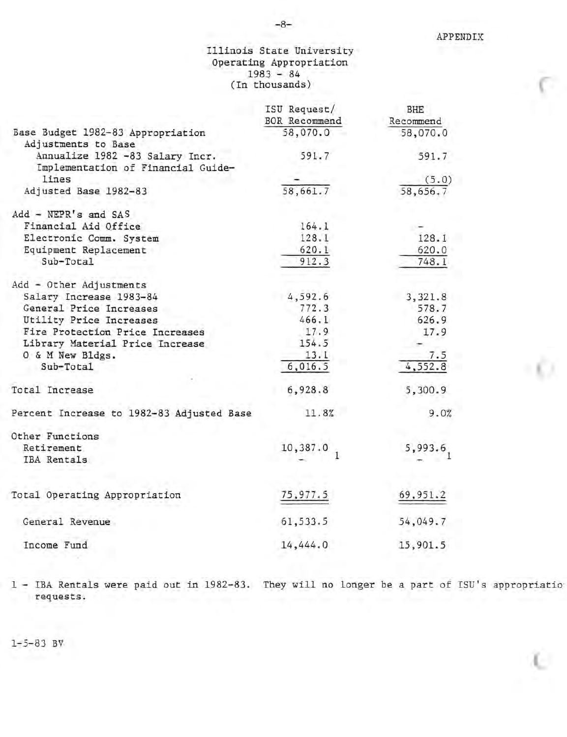## Illinois State University Operating Appropriation 1983 - 84 (In thousands)

|                                                          | ISU Request/  | <b>BHE</b>             |
|----------------------------------------------------------|---------------|------------------------|
|                                                          | BOR Recommend | Recommend              |
| Base Budget 1982-83 Appropriation<br>Adjustments to Base | 58,070.0      | 58,070.0               |
| Annualize 1982 -83 Salary Incr.                          | 591.7         | 591.7                  |
| Implementation of Financial Guide-                       |               |                        |
| lines                                                    |               | (5.0)                  |
| Adjusted Base 1982-83                                    | 58,661.7      | 58,656.7               |
| Add - NEPR's and SAS                                     |               |                        |
| Financial Aid Office                                     | 164.1         |                        |
| Electronic Comm. System                                  | 128.1         | 128.1                  |
| Equipment Replacement                                    | 620.1         | 620.0                  |
| Sub-Total                                                | 912.3         | 748.1                  |
| Add - Other Adjustments                                  |               |                        |
| Salary Increase 1983-84                                  | 4,592.6       | 3,321.8                |
| General Price Increases                                  | 772.3         | 578.7                  |
| Utility Price Increases                                  | 466.1         | 626.9                  |
| Fire Protection Price Increases                          | 17.9          | 17.9                   |
| Library Material Price Increase                          | 154.5         |                        |
| O & M New Bldgs.                                         | 13.1          | 7.5                    |
| Sub-Total                                                | 6,016.5       | 4,552.8                |
|                                                          |               |                        |
| Total Increase                                           | 6,928.8       | 5,300.9                |
| Percent Increase to 1982-83 Adjusted Base                | 11.8%         | 9.0%                   |
| Other Functions                                          |               |                        |
| Retirement                                               | 10,387.0<br>1 | $5,993.6$ <sub>1</sub> |
| IBA Rentals                                              |               |                        |
| Total Operating Appropriation                            | 75,977.5      | 69,951.2               |
|                                                          |               |                        |
| General Revenue                                          | 61,533.5      | 54,049.7               |
| Income Fund                                              | 14,444.0      | 15,901.5               |
|                                                          |               |                        |

1 - IBA Rentals were paid out in 1982-83. They will no longer be a part of ISU's appropriatio requests.

1-5-83 BV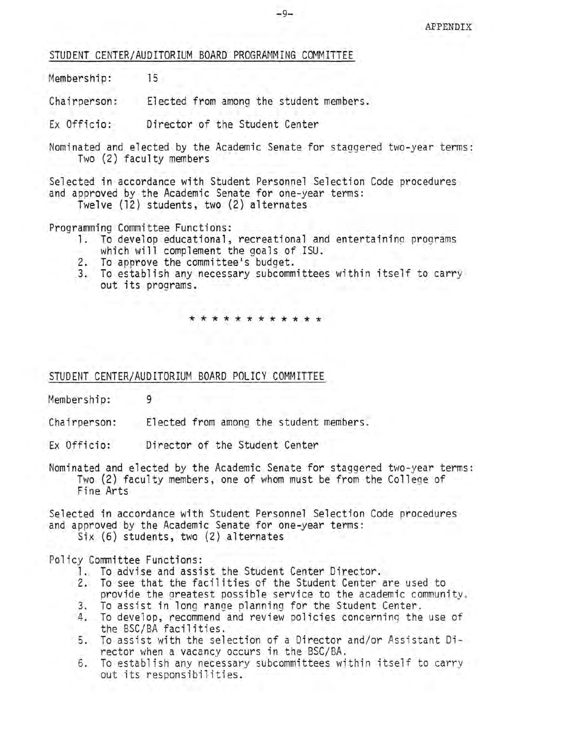STUDENT CENTER/AUDITORIUM BOARD PROGRAMMING COMMITTEE

Membership: 15

Chairperson: Elected from among the student members.

Ex Officio: Director of the Student Center

Nominated and elected by the Academic Senate for staggered two-year terms: Two (2) faculty members

Selected in accordance with Student Personnel Selection Code procedures and approved by the Academic Senate for one-year terms:

Twelve (12) students, two (2) alternates

Programming Committee Functions:

- 1. To develop educational, recreational and entertainina programs which will complement the goals of ISU.
- 2. To approve the committee's budget.
- 3. To establish any necessary subcommittees within itself to carry out its programs.

\* \* \* \* \* \* \* \* \*

STUDENT CENTER/AUDITORIUM BOARD POLICY COMMITTEE

Membership: 9

Chairperson: Elected from among the student members.

Ex Officio: Director of the Student Center

Nominated and elected by the Academic Senate for staggered two-year terms: Two (2) faculty members, one of whom must be from the College of Fine Arts

Selected in accordance with Student Personnel Selection Code procedures and approved by the Academic Senate for one-year terms:

Six (6) students, two (2) alternates

Policy Committee Functions:

- 1. To advise and assist the Student Center Director.
- 2. To see that the facilities of the Student Center are used to provide the greatest possible service to the academic community.<br>To assist in long range planning for the Student Center.
- 
- 3. To assist in long range planning for the Student Center . 4. To develop, recommend and review policies concerning the use of the BSC/BA facilities.
- 5. To assist with the selection of a Director and/or Assistant Director when a vacancy occurs in the BSC/BA.
- 6. To establish any necessary subcommittees within itself to carry out its responsibilities.